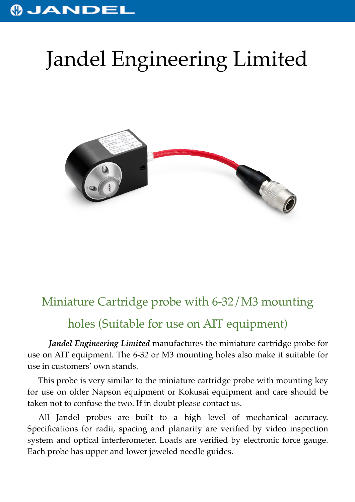## **OJANDEL**

## Jandel Engineering Limited



## Miniature Cartridge probe with 6-32/M3 mounting

## holes (Suitable for use on AIT equipment)

*Jandel Engineering Limited* manufactures the miniature cartridge probe for use on AIT equipment. The 6-32 or M3 mounting holes also make it suitable for use in customers' own stands.

This probe is very similar to the miniature cartridge probe with mounting key for use on older Napson equipment or Kokusai equipment and care should be taken not to confuse the two. If in doubt please contact us.

All Jandel probes are built to a high level of mechanical accuracy. Specifications for radii, spacing and planarity are verified by video inspection system and optical interferometer. Loads are verified by electronic force gauge. Each probe has upper and lower jeweled needle guides.